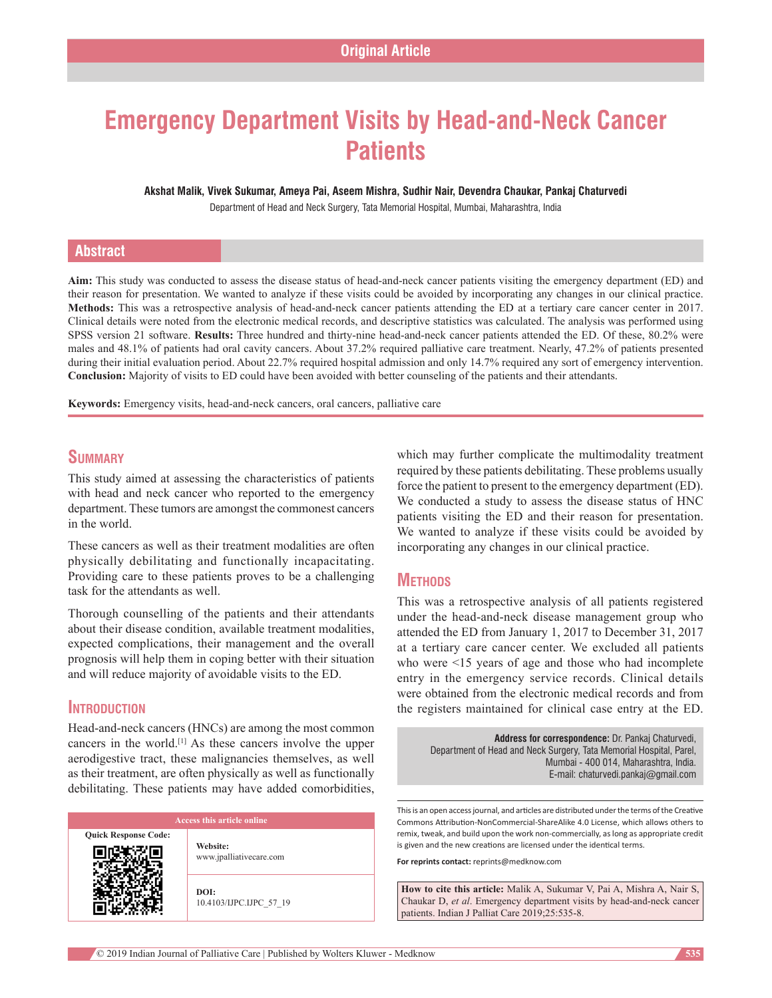# **Emergency Department Visits by Head‑and‑Neck Cancer Patients**

**Akshat Malik, Vivek Sukumar, Ameya Pai, Aseem Mishra, Sudhir Nair, Devendra Chaukar, Pankaj Chaturvedi**

Department of Head and Neck Surgery, Tata Memorial Hospital, Mumbai, Maharashtra, India

# **Abstract**

Aim: This study was conducted to assess the disease status of head-and-neck cancer patients visiting the emergency department (ED) and their reason for presentation. We wanted to analyze if these visits could be avoided by incorporating any changes in our clinical practice. **Methods:** This was a retrospective analysis of head-and-neck cancer patients attending the ED at a tertiary care cancer center in 2017. Clinical details were noted from the electronic medical records, and descriptive statistics was calculated. The analysis was performed using SPSS version 21 software. **Results:** Three hundred and thirty-nine head-and-neck cancer patients attended the ED. Of these, 80.2% were males and 48.1% of patients had oral cavity cancers. About 37.2% required palliative care treatment. Nearly, 47.2% of patients presented during their initial evaluation period. About 22.7% required hospital admission and only 14.7% required any sort of emergency intervention. **Conclusion:** Majority of visits to ED could have been avoided with better counseling of the patients and their attendants.

**Keywords:** Emergency visits, head-and-neck cancers, oral cancers, palliative care

# **Summary**

This study aimed at assessing the characteristics of patients with head and neck cancer who reported to the emergency department. These tumors are amongst the commonest cancers in the world.

These cancers as well as their treatment modalities are often physically debilitating and functionally incapacitating. Providing care to these patients proves to be a challenging task for the attendants as well.

Thorough counselling of the patients and their attendants about their disease condition, available treatment modalities, expected complications, their management and the overall prognosis will help them in coping better with their situation and will reduce majority of avoidable visits to the ED.

#### **Introduction**

Head-and-neck cancers (HNCs) are among the most common cancers in the world.[1] As these cancers involve the upper aerodigestive tract, these malignancies themselves, as well as their treatment, are often physically as well as functionally debilitating. These patients may have added comorbidities,

**Quick Response Code:**

**Website:** www.jpalliativecare.com

**DOI:** 10.4103/IJPC.IJPC\_57\_19 which may further complicate the multimodality treatment required by these patients debilitating. These problems usually force the patient to present to the emergency department (ED). We conducted a study to assess the disease status of HNC patients visiting the ED and their reason for presentation. We wanted to analyze if these visits could be avoided by incorporating any changes in our clinical practice.

#### **Methods**

This was a retrospective analysis of all patients registered under the head-and-neck disease management group who attended the ED from January 1, 2017 to December 31, 2017 at a tertiary care cancer center. We excluded all patients who were <15 years of age and those who had incomplete entry in the emergency service records. Clinical details were obtained from the electronic medical records and from the registers maintained for clinical case entry at the ED.

**Address for correspondence:** Dr. Pankaj Chaturvedi, Department of Head and Neck Surgery, Tata Memorial Hospital, Parel, Mumbai ‑ 400 014, Maharashtra, India. E‑mail: chaturvedi.pankaj@gmail.com

This is an open access journal, and articles are distributed under the terms of the Creative Commons Attribution‑NonCommercial‑ShareAlike 4.0 License, which allows others to remix, tweak, and build upon the work non‑commercially, as long as appropriate credit is given and the new creations are licensed under the identical terms.

**For reprints contact:** reprints@medknow.com

**How to cite this article:** Malik A, Sukumar V, Pai A, Mishra A, Nair S, Chaukar D, *et al*. Emergency department visits by head-and-neck cancer patients. Indian J Palliat Care 2019;25:535-8.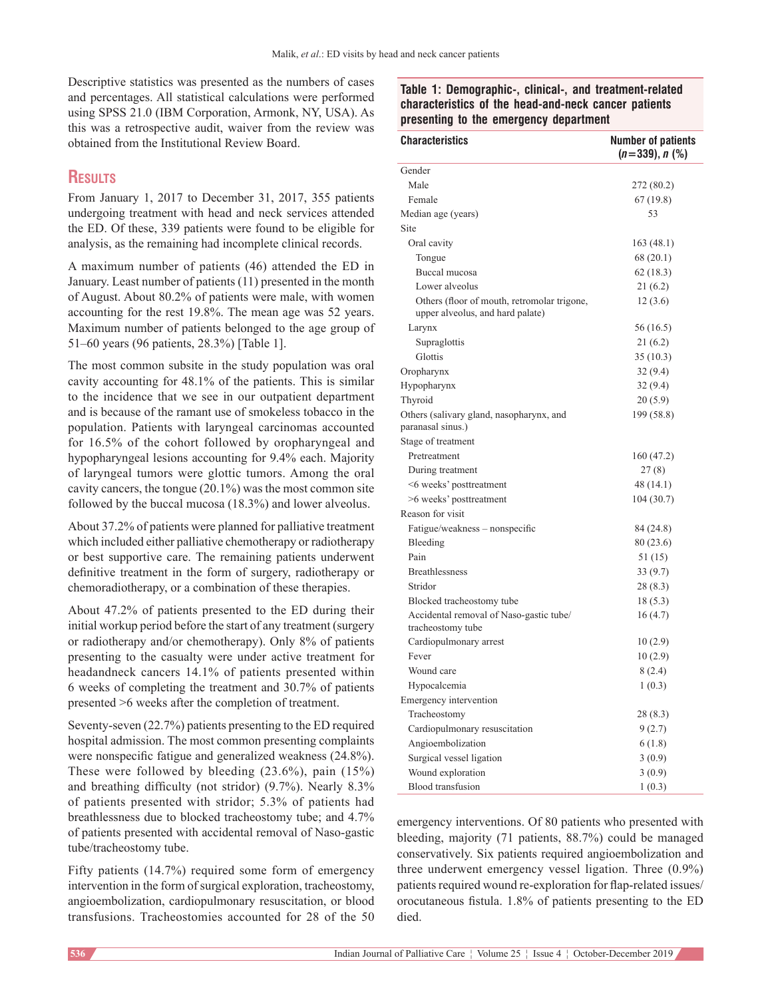Descriptive statistics was presented as the numbers of cases and percentages. All statistical calculations were performed using SPSS 21.0 (IBM Corporation, Armonk, NY, USA). As this was a retrospective audit, waiver from the review was obtained from the Institutional Review Board.

# **Results**

From January 1, 2017 to December 31, 2017, 355 patients undergoing treatment with head and neck services attended the ED. Of these, 339 patients were found to be eligible for analysis, as the remaining had incomplete clinical records.

A maximum number of patients (46) attended the ED in January. Least number of patients (11) presented in the month of August. About 80.2% of patients were male, with women accounting for the rest 19.8%. The mean age was 52 years. Maximum number of patients belonged to the age group of 51–60 years (96 patients, 28.3%) [Table 1].

The most common subsite in the study population was oral cavity accounting for 48.1% of the patients. This is similar to the incidence that we see in our outpatient department and is because of the ramant use of smokeless tobacco in the population. Patients with laryngeal carcinomas accounted for 16.5% of the cohort followed by oropharyngeal and hypopharyngeal lesions accounting for 9.4% each. Majority of laryngeal tumors were glottic tumors. Among the oral cavity cancers, the tongue (20.1%) was the most common site followed by the buccal mucosa (18.3%) and lower alveolus.

About 37.2% of patients were planned for palliative treatment which included either palliative chemotherapy or radiotherapy or best supportive care. The remaining patients underwent definitive treatment in the form of surgery, radiotherapy or chemoradiotherapy, or a combination of these therapies.

About 47.2% of patients presented to the ED during their initial workup period before the start of any treatment (surgery or radiotherapy and/or chemotherapy). Only 8% of patients presenting to the casualty were under active treatment for headandneck cancers 14.1% of patients presented within 6 weeks of completing the treatment and 30.7% of patients presented >6 weeks after the completion of treatment.

Seventy-seven (22.7%) patients presenting to the ED required hospital admission. The most common presenting complaints were nonspecific fatigue and generalized weakness (24.8%). These were followed by bleeding (23.6%), pain (15%) and breathing difficulty (not stridor) (9.7%). Nearly 8.3% of patients presented with stridor; 5.3% of patients had breathlessness due to blocked tracheostomy tube; and 4.7% of patients presented with accidental removal of Naso-gastic tube/tracheostomy tube.

Fifty patients (14.7%) required some form of emergency intervention in the form of surgical exploration, tracheostomy, angioembolization, cardiopulmonary resuscitation, or blood transfusions. Tracheostomies accounted for 28 of the 50

| Table 1: Demographic-, clinical-, and treatment-related |  |
|---------------------------------------------------------|--|
| characteristics of the head-and-neck cancer patients    |  |
| presenting to the emergency department                  |  |

| <b>Characteristics</b>                                                          | <b>Number of patients</b><br>$(n=339), n$ (%) |
|---------------------------------------------------------------------------------|-----------------------------------------------|
| Gender                                                                          |                                               |
| Male                                                                            | 272 (80.2)                                    |
| Female                                                                          | 67 (19.8)                                     |
| Median age (years)                                                              | 53                                            |
| Site                                                                            |                                               |
| Oral cavity                                                                     | 163(48.1)                                     |
| Tongue                                                                          | 68 (20.1)                                     |
| Buccal mucosa                                                                   | 62 (18.3)                                     |
| Lower alveolus                                                                  | 21(6.2)                                       |
| Others (floor of mouth, retromolar trigone,<br>upper alveolus, and hard palate) | 12(3.6)                                       |
| Larynx                                                                          | 56 (16.5)                                     |
| Supraglottis                                                                    | 21 (6.2)                                      |
| Glottis                                                                         | 35 (10.3)                                     |
| Oropharynx                                                                      | 32 (9.4)                                      |
| Hypopharynx                                                                     | 32(9.4)                                       |
| Thyroid                                                                         | 20(5.9)                                       |
| Others (salivary gland, nasopharynx, and<br>paranasal sinus.)                   | 199 (58.8)                                    |
| Stage of treatment                                                              |                                               |
| Pretreatment                                                                    | 160 (47.2)                                    |
| During treatment                                                                | 27(8)                                         |
| <6 weeks' posttreatment                                                         | 48 (14.1)                                     |
| >6 weeks' posttreatment                                                         | 104(30.7)                                     |
| Reason for visit                                                                |                                               |
| Fatigue/weakness – nonspecific                                                  | 84 (24.8)                                     |
| Bleeding                                                                        | 80 (23.6)                                     |
| Pain                                                                            | 51 (15)                                       |
| <b>Breathlessness</b>                                                           | 33 (9.7)                                      |
| Stridor                                                                         | 28 (8.3)                                      |
| Blocked tracheostomy tube                                                       | 18(5.3)                                       |
| Accidental removal of Naso-gastic tube/<br>tracheostomy tube                    | 16(4.7)                                       |
| Cardiopulmonary arrest                                                          | 10(2.9)                                       |
| Fever                                                                           | 10(2.9)                                       |
| Wound care                                                                      | 8(2.4)                                        |
| Hypocalcemia                                                                    | 1(0.3)                                        |
| Emergency intervention                                                          |                                               |
| Tracheostomy                                                                    | 28(8.3)                                       |
| Cardiopulmonary resuscitation                                                   | 9(2.7)                                        |
| Angioembolization                                                               | 6(1.8)                                        |
| Surgical vessel ligation                                                        | 3(0.9)                                        |
| Wound exploration                                                               | 3(0.9)                                        |
| <b>Blood</b> transfusion                                                        | 1(0.3)                                        |

emergency interventions. Of 80 patients who presented with bleeding, majority (71 patients, 88.7%) could be managed conservatively. Six patients required angioembolization and three underwent emergency vessel ligation. Three (0.9%) patients required wound re-exploration for flap-related issues/ orocutaneous fistula. 1.8% of patients presenting to the ED died.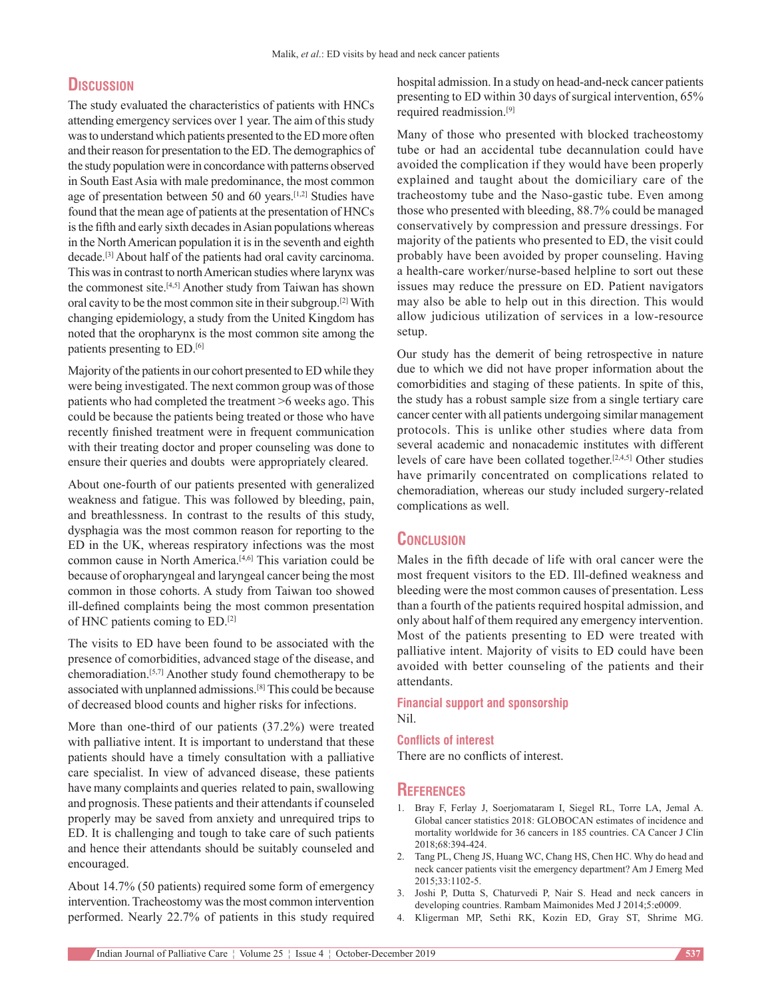# **Discussion**

The study evaluated the characteristics of patients with HNCs attending emergency services over 1 year. The aim of this study was to understand which patients presented to the ED more often and their reason for presentation to the ED. The demographics of the study population were in concordance with patterns observed in South East Asia with male predominance, the most common age of presentation between 50 and 60 years.[1,2] Studies have found that the mean age of patients at the presentation of HNCs is the fifth and early sixth decades in Asian populations whereas in the North American population it is in the seventh and eighth decade.[3] About half of the patients had oral cavity carcinoma. This was in contrast to north American studies where larynx was the commonest site.<sup>[4,5]</sup> Another study from Taiwan has shown oral cavity to be the most common site in their subgroup.[2] With changing epidemiology, a study from the United Kingdom has noted that the oropharynx is the most common site among the patients presenting to ED.[6]

Majority of the patients in our cohort presented to ED while they were being investigated. The next common group was of those patients who had completed the treatment >6 weeks ago. This could be because the patients being treated or those who have recently finished treatment were in frequent communication with their treating doctor and proper counseling was done to ensure their queries and doubts were appropriately cleared.

About one‑fourth of our patients presented with generalized weakness and fatigue. This was followed by bleeding, pain, and breathlessness. In contrast to the results of this study, dysphagia was the most common reason for reporting to the ED in the UK, whereas respiratory infections was the most common cause in North America.<sup>[4,6]</sup> This variation could be because of oropharyngeal and laryngeal cancer being the most common in those cohorts. A study from Taiwan too showed ill‑defined complaints being the most common presentation of HNC patients coming to ED.[2]

The visits to ED have been found to be associated with the presence of comorbidities, advanced stage of the disease, and chemoradiation.[5,7] Another study found chemotherapy to be associated with unplanned admissions.[8] This could be because of decreased blood counts and higher risks for infections.

More than one-third of our patients (37.2%) were treated with palliative intent. It is important to understand that these patients should have a timely consultation with a palliative care specialist. In view of advanced disease, these patients have many complaints and queries related to pain, swallowing and prognosis. These patients and their attendants if counseled properly may be saved from anxiety and unrequired trips to ED. It is challenging and tough to take care of such patients and hence their attendants should be suitably counseled and encouraged.

About 14.7% (50 patients) required some form of emergency intervention. Tracheostomy was the most common intervention performed. Nearly 22.7% of patients in this study required hospital admission. In a study on head-and-neck cancer patients presenting to ED within 30 days of surgical intervention, 65% required readmission.[9]

Many of those who presented with blocked tracheostomy tube or had an accidental tube decannulation could have avoided the complication if they would have been properly explained and taught about the domiciliary care of the tracheostomy tube and the Naso-gastic tube. Even among those who presented with bleeding, 88.7% could be managed conservatively by compression and pressure dressings. For majority of the patients who presented to ED, the visit could probably have been avoided by proper counseling. Having a health-care worker/nurse-based helpline to sort out these issues may reduce the pressure on ED. Patient navigators may also be able to help out in this direction. This would allow judicious utilization of services in a low‑resource setup.

Our study has the demerit of being retrospective in nature due to which we did not have proper information about the comorbidities and staging of these patients. In spite of this, the study has a robust sample size from a single tertiary care cancer center with all patients undergoing similar management protocols. This is unlike other studies where data from several academic and nonacademic institutes with different levels of care have been collated together.[2,4,5] Other studies have primarily concentrated on complications related to chemoradiation, whereas our study included surgery‑related complications as well.

# **Conclusion**

Males in the fifth decade of life with oral cancer were the most frequent visitors to the ED. Ill-defined weakness and bleeding were the most common causes of presentation. Less than a fourth of the patients required hospital admission, and only about half of them required any emergency intervention. Most of the patients presenting to ED were treated with palliative intent. Majority of visits to ED could have been avoided with better counseling of the patients and their attendants.

**Financial support and sponsorship** Nil.

#### **Conflicts of interest**

There are no conflicts of interest.

#### **References**

- 1. Bray F, Ferlay J, Soerjomataram I, Siegel RL, Torre LA, Jemal A. Global cancer statistics 2018: GLOBOCAN estimates of incidence and mortality worldwide for 36 cancers in 185 countries. CA Cancer J Clin 2018;68:394‑424.
- 2. Tang PL, Cheng JS, Huang WC, Chang HS, Chen HC. Why do head and neck cancer patients visit the emergency department? Am J Emerg Med 2015;33:1102‑5.
- 3. Joshi P, Dutta S, Chaturvedi P, Nair S. Head and neck cancers in developing countries. Rambam Maimonides Med J 2014;5:e0009.
- 4. Kligerman MP, Sethi RK, Kozin ED, Gray ST, Shrime MG.